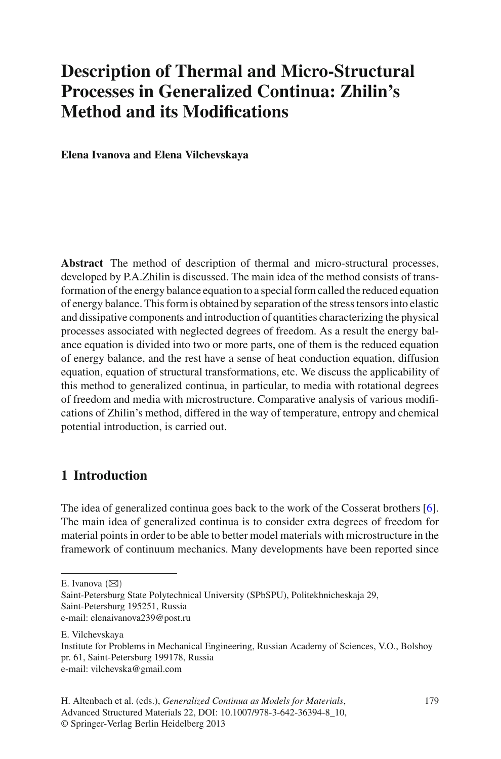# **Description of Thermal and Micro-Structural Processes in Generalized Continua: Zhilin's Method and its Modifications**

**Elena Ivanova and Elena Vilchevskaya**

**Abstract** The method of description of thermal and micro-structural processes, developed by P.A.Zhilin is discussed. The main idea of the method consists of transformation of the energy balance equation to a special form called the reduced equation of energy balance. This form is obtained by separation of the stress tensors into elastic and dissipative components and introduction of quantities characterizing the physical processes associated with neglected degrees of freedom. As a result the energy balance equation is divided into two or more parts, one of them is the reduced equation of energy balance, and the rest have a sense of heat conduction equation, diffusion equation, equation of structural transformations, etc. We discuss the applicability of this method to generalized continua, in particular, to media with rotational degrees of freedom and media with microstructure. Comparative analysis of various modifications of Zhilin's method, differed in the way of temperature, entropy and chemical potential introduction, is carried out.

# **1 Introduction**

The idea of generalized continua goes back to the work of the Cosserat brothers [\[6](#page-17-0)]. The main idea of generalized continua is to consider extra degrees of freedom for material points in order to be able to better model materials with microstructure in the framework of continuum mechanics. Many developments have been reported since

E. Vilchevskaya

E. Ivanova  $(\boxtimes)$ 

Saint-Petersburg State Polytechnical University (SPbSPU), Politekhnicheskaja 29, Saint-Petersburg 195251, Russia e-mail: elenaivanova239@post.ru

Institute for Problems in Mechanical Engineering, Russian Academy of Sciences, V.O., Bolshoy pr. 61, Saint-Petersburg 199178, Russia e-mail: vilchevska@gmail.com

H. Altenbach et al. (eds.), *Generalized Continua as Models for Materials*, 179 Advanced Structured Materials 22, DOI: 10.1007/978-3-642-36394-8\_10, © Springer-Verlag Berlin Heidelberg 2013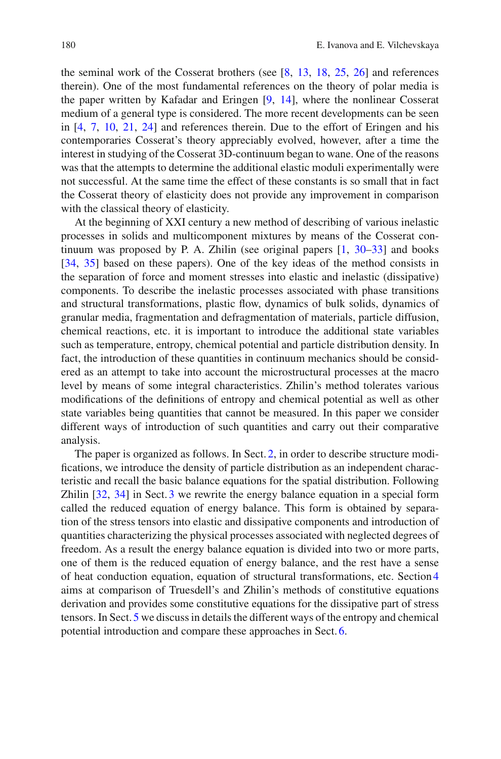the seminal work of the Cosserat brothers (see [\[8](#page-17-1), [13,](#page-17-2) [18](#page-17-3), [25,](#page-17-4) [26](#page-18-0)] and references therein). One of the most fundamental references on the theory of polar media is the paper written by Kafadar and Eringen [\[9,](#page-17-5) [14\]](#page-17-6), where the nonlinear Cosserat medium of a general type is considered. The more recent developments can be seen in [\[4](#page-17-7), [7,](#page-17-8) [10](#page-17-9), [21,](#page-17-10) [24\]](#page-17-11) and references therein. Due to the effort of Eringen and his contemporaries Cosserat's theory appreciably evolved, however, after a time the interest in studying of the Cosserat 3D-continuum began to wane. One of the reasons was that the attempts to determine the additional elastic moduli experimentally were not successful. At the same time the effect of these constants is so small that in fact the Cosserat theory of elasticity does not provide any improvement in comparison with the classical theory of elasticity.

At the beginning of XXI century a new method of describing of various inelastic processes in solids and multicomponent mixtures by means of the Cosserat continuum was proposed by P. A. Zhilin (see original papers  $[1, 30-33]$  $[1, 30-33]$  $[1, 30-33]$  $[1, 30-33]$  and books [\[34,](#page-18-3) [35\]](#page-18-4) based on these papers). One of the key ideas of the method consists in the separation of force and moment stresses into elastic and inelastic (dissipative) components. To describe the inelastic processes associated with phase transitions and structural transformations, plastic flow, dynamics of bulk solids, dynamics of granular media, fragmentation and defragmentation of materials, particle diffusion, chemical reactions, etc. it is important to introduce the additional state variables such as temperature, entropy, chemical potential and particle distribution density. In fact, the introduction of these quantities in continuum mechanics should be considered as an attempt to take into account the microstructural processes at the macro level by means of some integral characteristics. Zhilin's method tolerates various modifications of the definitions of entropy and chemical potential as well as other state variables being quantities that cannot be measured. In this paper we consider different ways of introduction of such quantities and carry out their comparative analysis.

The paper is organized as follows. In Sect. [2,](#page-2-0) in order to describe structure modifications, we introduce the density of particle distribution as an independent characteristic and recall the basic balance equations for the spatial distribution. Following Zhilin [\[32](#page-18-5), [34](#page-18-3)] in Sect. [3](#page-6-0) we rewrite the energy balance equation in a special form called the reduced equation of energy balance. This form is obtained by separation of the stress tensors into elastic and dissipative components and introduction of quantities characterizing the physical processes associated with neglected degrees of freedom. As a result the energy balance equation is divided into two or more parts, one of them is the reduced equation of energy balance, and the rest have a sense of heat conduction equation, equation of structural transformations, etc. Section [4](#page-7-0) aims at comparison of Truesdell's and Zhilin's methods of constitutive equations derivation and provides some constitutive equations for the dissipative part of stress tensors. In Sect. [5](#page-10-0) we discuss in details the different ways of the entropy and chemical potential introduction and compare these approaches in Sect. [6.](#page-16-0)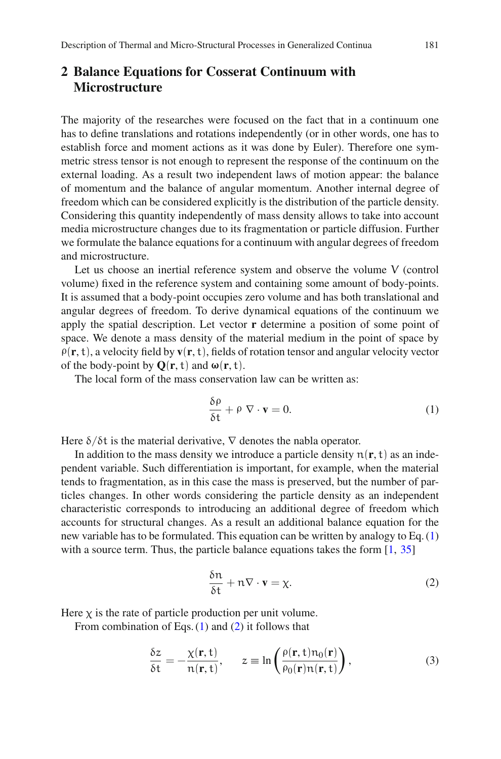# <span id="page-2-0"></span>**2 Balance Equations for Cosserat Continuum with Microstructure**

The majority of the researches were focused on the fact that in a continuum one has to define translations and rotations independently (or in other words, one has to establish force and moment actions as it was done by Euler). Therefore one symmetric stress tensor is not enough to represent the response of the continuum on the external loading. As a result two independent laws of motion appear: the balance of momentum and the balance of angular momentum. Another internal degree of freedom which can be considered explicitly is the distribution of the particle density. Considering this quantity independently of mass density allows to take into account media microstructure changes due to its fragmentation or particle diffusion. Further we formulate the balance equations for a continuum with angular degrees of freedom and microstructure.

Let us choose an inertial reference system and observe the volume V (control volume) fixed in the reference system and containing some amount of body-points. It is assumed that a body-point occupies zero volume and has both translational and angular degrees of freedom. To derive dynamical equations of the continuum we apply the spatial description. Let vector **r** determine a position of some point of space. We denote a mass density of the material medium in the point of space by ρ(**r**, t), a velocity field by **v**(**r**, t), fields of rotation tensor and angular velocity vector of the body-point by  $Q(\mathbf{r}, t)$  and  $\omega(\mathbf{r}, t)$ .

<span id="page-2-1"></span>The local form of the mass conservation law can be written as:

$$
\frac{\delta \rho}{\delta t} + \rho \nabla \cdot \mathbf{v} = 0.
$$
 (1)

Here  $\delta/\delta t$  is the material derivative,  $\nabla$  denotes the nabla operator.

In addition to the mass density we introduce a particle density  $n(r, t)$  as an independent variable. Such differentiation is important, for example, when the material tends to fragmentation, as in this case the mass is preserved, but the number of particles changes. In other words considering the particle density as an independent characteristic corresponds to introducing an additional degree of freedom which accounts for structural changes. As a result an additional balance equation for the new variable has to be formulated. This equation can be written by analogy to Eq. [\(1\)](#page-2-1) with a source term. Thus, the particle balance equations takes the form [\[1,](#page-17-12) [35](#page-18-4)]

$$
\frac{\delta n}{\delta t} + n \nabla \cdot \mathbf{v} = \chi.
$$
 (2)

Here  $\chi$  is the rate of particle production per unit volume.

<span id="page-2-3"></span><span id="page-2-2"></span>From combination of Eqs. [\(1\)](#page-2-1) and [\(2\)](#page-2-2) it follows that

$$
\frac{\delta z}{\delta t} = -\frac{\chi(\mathbf{r}, t)}{n(\mathbf{r}, t)}, \qquad z \equiv \ln\left(\frac{\rho(\mathbf{r}, t)n_0(\mathbf{r})}{\rho_0(\mathbf{r})n(\mathbf{r}, t)}\right),\tag{3}
$$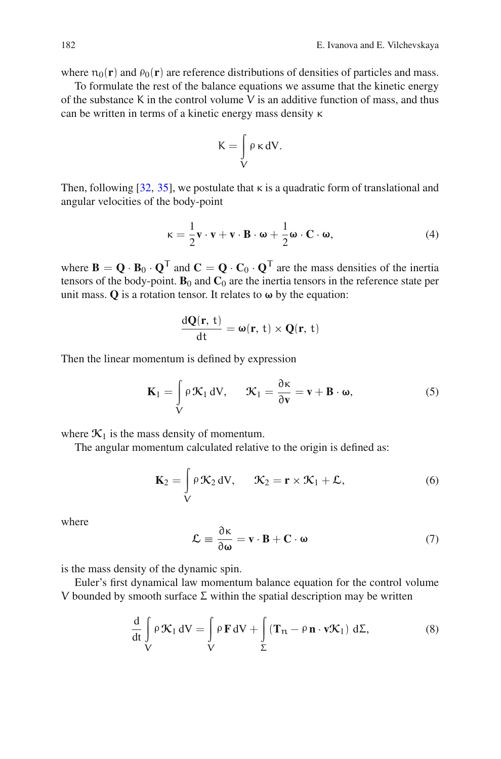where  $n_0(\mathbf{r})$  and  $p_0(\mathbf{r})$  are reference distributions of densities of particles and mass.

To formulate the rest of the balance equations we assume that the kinetic energy of the substance K in the control volume V is an additive function of mass, and thus can be written in terms of a kinetic energy mass density κ

$$
K=\int\limits_V\rho\,\kappa\,dV.
$$

Then, following [\[32,](#page-18-5) [35](#page-18-4)], we postulate that  $\kappa$  is a quadratic form of translational and angular velocities of the body-point

$$
\kappa = \frac{1}{2}\mathbf{v} \cdot \mathbf{v} + \mathbf{v} \cdot \mathbf{B} \cdot \boldsymbol{\omega} + \frac{1}{2}\boldsymbol{\omega} \cdot \mathbf{C} \cdot \boldsymbol{\omega},\tag{4}
$$

where  $\mathbf{B} = \mathbf{Q} \cdot \mathbf{B}_0 \cdot \mathbf{Q}^\mathsf{T}$  and  $\mathbf{C} = \mathbf{Q} \cdot \mathbf{C}_0 \cdot \mathbf{Q}^\mathsf{T}$  are the mass densities of the inertia tensors of the body-point.  $\mathbf{B}_0$  and  $\mathbf{C}_0$  are the inertia tensors in the reference state per unit mass. **Q** is a rotation tensor. It relates to  $\omega$  by the equation:

$$
\frac{d\mathbf{Q}(\mathbf{r},\,t)}{dt} = \boldsymbol{\omega}(\mathbf{r},\,t) \times \mathbf{Q}(\mathbf{r},\,t)
$$

Then the linear momentum is defined by expression

$$
\mathbf{K}_1 = \int\limits_V \rho \, \mathcal{K}_1 \, dV, \qquad \mathcal{K}_1 = \frac{\partial \kappa}{\partial \mathbf{v}} = \mathbf{v} + \mathbf{B} \cdot \boldsymbol{\omega}, \tag{5}
$$

where  $\mathcal{K}_1$  is the mass density of momentum.

The angular momentum calculated relative to the origin is defined as:

$$
\mathbf{K}_2 = \int\limits_V \rho \, \mathcal{K}_2 \, dV, \qquad \mathcal{K}_2 = \mathbf{r} \times \mathcal{K}_1 + \mathcal{L}, \tag{6}
$$

where

$$
\mathcal{L} \equiv \frac{\partial \kappa}{\partial \omega} = \mathbf{v} \cdot \mathbf{B} + \mathbf{C} \cdot \omega \tag{7}
$$

is the mass density of the dynamic spin.

Euler's first dynamical law momentum balance equation for the control volume V bounded by smooth surface  $\Sigma$  within the spatial description may be written

$$
\frac{d}{dt} \int\limits_V \rho \mathcal{K}_1 dV = \int\limits_V \rho \mathbf{F} dV + \int\limits_{\Sigma} (\mathbf{T}_n - \rho \mathbf{n} \cdot \mathbf{v} \mathcal{K}_1) d\Sigma, \tag{8}
$$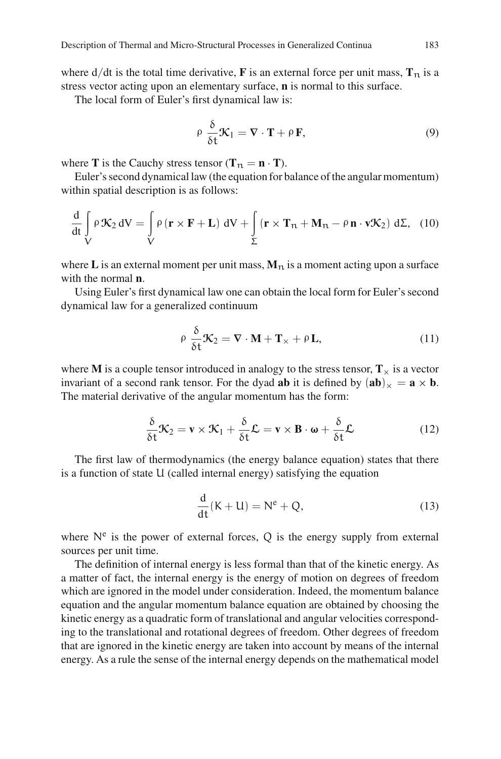where  $d/dt$  is the total time derivative, **F** is an external force per unit mass,  $T_n$  is a stress vector acting upon an elementary surface, **n** is normal to this surface.

<span id="page-4-0"></span>The local form of Euler's first dynamical law is:

$$
\rho \frac{\delta}{\delta t} \mathcal{K}_1 = \nabla \cdot \mathbf{T} + \rho \mathbf{F}, \qquad (9)
$$

where **T** is the Cauchy stress tensor ( $\mathbf{T}_n = \mathbf{n} \cdot \mathbf{T}$ ).

Euler's second dynamical law (the equation for balance of the angular momentum) within spatial description is as follows:

$$
\frac{d}{dt} \int\limits_V \rho \mathcal{K}_2 dV = \int\limits_V \rho \left( \mathbf{r} \times \mathbf{F} + \mathbf{L} \right) dV + \int\limits_{\Sigma} \left( \mathbf{r} \times \mathbf{T}_n + \mathbf{M}_n - \rho \mathbf{n} \cdot \mathbf{v} \mathcal{K}_2 \right) d\Sigma, \tag{10}
$$

where **L** is an external moment per unit mass,  $M_n$  is a moment acting upon a surface with the normal **n**.

<span id="page-4-1"></span>Using Euler's first dynamical law one can obtain the local form for Euler's second dynamical law for a generalized continuum

$$
\rho \frac{\delta}{\delta t} \mathcal{K}_2 = \nabla \cdot \mathbf{M} + \mathbf{T}_{\times} + \rho \mathbf{L}, \qquad (11)
$$

where **M** is a couple tensor introduced in analogy to the stress tensor,  $\mathbf{T}_\times$  is a vector invariant of a second rank tensor. For the dyad **ab** it is defined by  $(ab)_\times = \mathbf{a} \times \mathbf{b}$ . The material derivative of the angular momentum has the form:

$$
\frac{\delta}{\delta t}\mathcal{K}_2 = \mathbf{v} \times \mathcal{K}_1 + \frac{\delta}{\delta t}\mathcal{L} = \mathbf{v} \times \mathbf{B} \cdot \mathbf{\omega} + \frac{\delta}{\delta t}\mathcal{L}
$$
\n(12)

The first law of thermodynamics (the energy balance equation) states that there is a function of state U (called internal energy) satisfying the equation

$$
\frac{d}{dt}(K+U) = N^{e} + Q,
$$
\n(13)

where  $N<sup>e</sup>$  is the power of external forces, Q is the energy supply from external sources per unit time.

The definition of internal energy is less formal than that of the kinetic energy. As a matter of fact, the internal energy is the energy of motion on degrees of freedom which are ignored in the model under consideration. Indeed, the momentum balance equation and the angular momentum balance equation are obtained by choosing the kinetic energy as a quadratic form of translational and angular velocities corresponding to the translational and rotational degrees of freedom. Other degrees of freedom that are ignored in the kinetic energy are taken into account by means of the internal energy. As a rule the sense of the internal energy depends on the mathematical model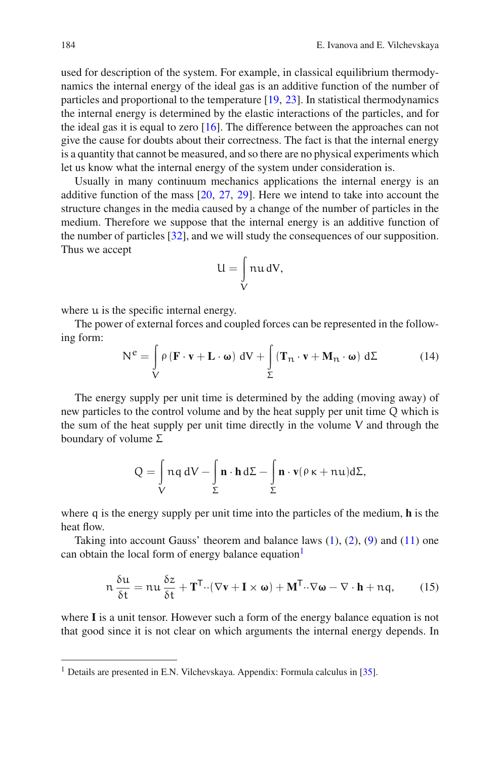used for description of the system. For example, in classical equilibrium thermodynamics the internal energy of the ideal gas is an additive function of the number of particles and proportional to the temperature [\[19](#page-17-13), [23](#page-17-14)]. In statistical thermodynamics the internal energy is determined by the elastic interactions of the particles, and for the ideal gas it is equal to zero [\[16\]](#page-17-15). The difference between the approaches can not give the cause for doubts about their correctness. The fact is that the internal energy is a quantity that cannot be measured, and so there are no physical experiments which let us know what the internal energy of the system under consideration is.

Usually in many continuum mechanics applications the internal energy is an additive function of the mass [\[20](#page-17-16), [27](#page-18-6), [29](#page-18-7)]. Here we intend to take into account the structure changes in the media caused by a change of the number of particles in the medium. Therefore we suppose that the internal energy is an additive function of the number of particles [\[32](#page-18-5)], and we will study the consequences of our supposition. Thus we accept

$$
U = \int\limits_V nu \,dV,
$$

where u is the specific internal energy.

The power of external forces and coupled forces can be represented in the following form:

$$
N^{e} = \int_{V} \rho \left( \mathbf{F} \cdot \mathbf{v} + \mathbf{L} \cdot \boldsymbol{\omega} \right) dV + \int_{\Sigma} \left( \mathbf{T}_{n} \cdot \mathbf{v} + \mathbf{M}_{n} \cdot \boldsymbol{\omega} \right) d\Sigma
$$
 (14)

The energy supply per unit time is determined by the adding (moving away) of new particles to the control volume and by the heat supply per unit time Q which is the sum of the heat supply per unit time directly in the volume  $V$  and through the boundary of volume Σ

$$
Q = \int\limits_V nq \, dV - \int\limits_{\Sigma} \mathbf{n} \cdot \mathbf{h} \, d\Sigma - \int\limits_{\Sigma} \mathbf{n} \cdot \mathbf{v} (\rho \kappa + n\mathbf{u}) d\Sigma,
$$

where q is the energy supply per unit time into the particles of the medium, **h** is the heat flow.

<span id="page-5-1"></span>Taking into account Gauss' theorem and balance laws  $(1)$ ,  $(2)$ ,  $(9)$  and  $(11)$  one can obtain the local form of energy balance equation<sup>[1](#page-5-0)</sup>

$$
n\frac{\delta u}{\delta t} = n u \frac{\delta z}{\delta t} + T^{T} \cdot (\nabla v + I \times \omega) + M^{T} \cdot \nabla \omega - \nabla \cdot h + nq, \qquad (15)
$$

where **I** is a unit tensor. However such a form of the energy balance equation is not that good since it is not clear on which arguments the internal energy depends. In

<span id="page-5-0"></span><sup>&</sup>lt;sup>1</sup> Details are presented in E.N. Vilchevskaya. Appendix: Formula calculus in [\[35\]](#page-18-4).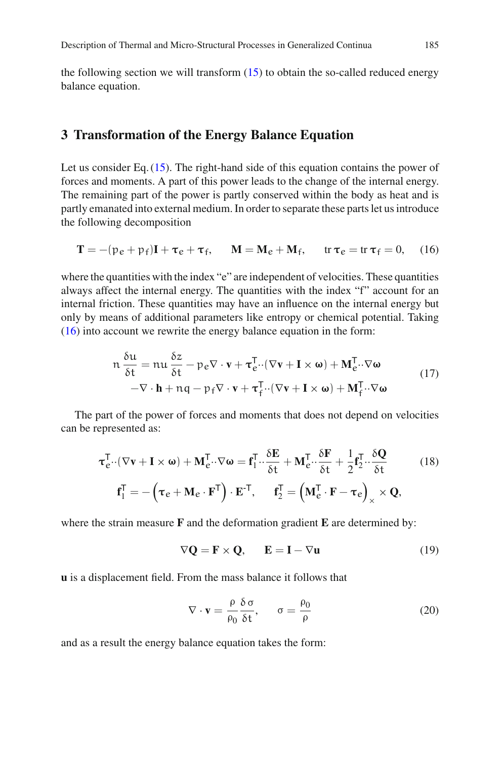the following section we will transform  $(15)$  to obtain the so-called reduced energy balance equation.

#### <span id="page-6-0"></span>**3 Transformation of the Energy Balance Equation**

Let us consider Eq. [\(15\)](#page-5-1). The right-hand side of this equation contains the power of forces and moments. A part of this power leads to the change of the internal energy. The remaining part of the power is partly conserved within the body as heat and is partly emanated into external medium. In order to separate these parts let us introduce the following decomposition

$$
\mathbf{T} = -(\mathbf{p}_e + \mathbf{p}_f)\mathbf{I} + \boldsymbol{\tau}_e + \boldsymbol{\tau}_f, \quad \mathbf{M} = \mathbf{M}_e + \mathbf{M}_f, \quad \text{tr } \boldsymbol{\tau}_e = \text{tr } \boldsymbol{\tau}_f = 0, \quad (16)
$$

<span id="page-6-1"></span>where the quantities with the index "e" are independent of velocities. These quantities always affect the internal energy. The quantities with the index "f" account for an internal friction. These quantities may have an influence on the internal energy but only by means of additional parameters like entropy or chemical potential. Taking [\(16\)](#page-6-1) into account we rewrite the energy balance equation in the form:

$$
n \frac{\delta u}{\delta t} = n u \frac{\delta z}{\delta t} - p_e \nabla \cdot \mathbf{v} + \tau_e^{\mathsf{T}} \cdot (\nabla \mathbf{v} + \mathbf{I} \times \boldsymbol{\omega}) + \mathbf{M}_e^{\mathsf{T}} \cdot \nabla \boldsymbol{\omega}
$$
  
-  $\nabla \cdot \mathbf{h} + nq - p_f \nabla \cdot \mathbf{v} + \tau_f^{\mathsf{T}} \cdot (\nabla \mathbf{v} + \mathbf{I} \times \boldsymbol{\omega}) + \mathbf{M}_f^{\mathsf{T}} \cdot \nabla \boldsymbol{\omega}$  (17)

The part of the power of forces and moments that does not depend on velocities can be represented as:

$$
\boldsymbol{\tau}_{e}^{\mathsf{T}} \cdot (\nabla \mathbf{v} + \mathbf{I} \times \boldsymbol{\omega}) + \mathbf{M}_{e}^{\mathsf{T}} \cdot \nabla \boldsymbol{\omega} = \mathbf{f}_{1}^{\mathsf{T}} \cdot \frac{\delta \mathbf{E}}{\delta t} + \mathbf{M}_{e}^{\mathsf{T}} \cdot \frac{\delta \mathbf{F}}{\delta t} + \frac{1}{2} \mathbf{f}_{2}^{\mathsf{T}} \cdot \frac{\delta \mathbf{Q}}{\delta t}
$$
(18)  

$$
\mathbf{f}_{1}^{\mathsf{T}} = -(\boldsymbol{\tau}_{e} + \mathbf{M}_{e} \cdot \mathbf{F}^{\mathsf{T}}) \cdot \mathbf{E}^{\mathsf{T}}, \quad \mathbf{f}_{2}^{\mathsf{T}} = (\mathbf{M}_{e}^{\mathsf{T}} \cdot \mathbf{F} - \boldsymbol{\tau}_{e})_{\times} \times \mathbf{Q},
$$

where the strain measure **F** and the deformation gradient **E** are determined by:

$$
\nabla \mathbf{Q} = \mathbf{F} \times \mathbf{Q}, \qquad \mathbf{E} = \mathbf{I} - \nabla \mathbf{u}
$$
 (19)

**u** is a displacement field. From the mass balance it follows that

$$
\nabla \cdot \mathbf{v} = \frac{\rho}{\rho_0} \frac{\delta \sigma}{\delta t}, \qquad \sigma = \frac{\rho_0}{\rho}
$$
 (20)

and as a result the energy balance equation takes the form: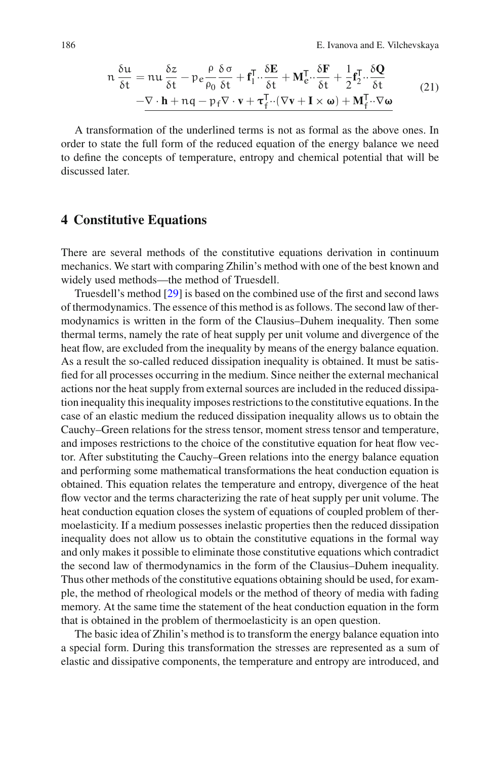$$
n \frac{\delta u}{\delta t} = n u \frac{\delta z}{\delta t} - p_e \frac{\rho}{\rho_0} \frac{\delta \sigma}{\delta t} + f_1^T \cdot \frac{\delta E}{\delta t} + M_e^T \cdot \frac{\delta F}{\delta t} + \frac{1}{2} f_2^T \cdot \frac{\delta Q}{\delta t}
$$
  
- $\nabla \cdot \mathbf{h} + nq - p_f \nabla \cdot \mathbf{v} + \tau_f^T \cdot (\nabla \mathbf{v} + \mathbf{I} \times \boldsymbol{\omega}) + M_f^T \cdot \nabla \boldsymbol{\omega}$  (21)

<span id="page-7-1"></span>A transformation of the underlined terms is not as formal as the above ones. In order to state the full form of the reduced equation of the energy balance we need to define the concepts of temperature, entropy and chemical potential that will be discussed later.

#### <span id="page-7-0"></span>**4 Constitutive Equations**

There are several methods of the constitutive equations derivation in continuum mechanics. We start with comparing Zhilin's method with one of the best known and widely used methods—the method of Truesdell.

Truesdell's method [\[29\]](#page-18-7) is based on the combined use of the first and second laws of thermodynamics. The essence of this method is as follows. The second law of thermodynamics is written in the form of the Clausius–Duhem inequality. Then some thermal terms, namely the rate of heat supply per unit volume and divergence of the heat flow, are excluded from the inequality by means of the energy balance equation. As a result the so-called reduced dissipation inequality is obtained. It must be satisfied for all processes occurring in the medium. Since neither the external mechanical actions nor the heat supply from external sources are included in the reduced dissipation inequality this inequality imposes restrictions to the constitutive equations. In the case of an elastic medium the reduced dissipation inequality allows us to obtain the Cauchy–Green relations for the stress tensor, moment stress tensor and temperature, and imposes restrictions to the choice of the constitutive equation for heat flow vector. After substituting the Cauchy–Green relations into the energy balance equation and performing some mathematical transformations the heat conduction equation is obtained. This equation relates the temperature and entropy, divergence of the heat flow vector and the terms characterizing the rate of heat supply per unit volume. The heat conduction equation closes the system of equations of coupled problem of thermoelasticity. If a medium possesses inelastic properties then the reduced dissipation inequality does not allow us to obtain the constitutive equations in the formal way and only makes it possible to eliminate those constitutive equations which contradict the second law of thermodynamics in the form of the Clausius–Duhem inequality. Thus other methods of the constitutive equations obtaining should be used, for example, the method of rheological models or the method of theory of media with fading memory. At the same time the statement of the heat conduction equation in the form that is obtained in the problem of thermoelasticity is an open question.

The basic idea of Zhilin's method is to transform the energy balance equation into a special form. During this transformation the stresses are represented as a sum of elastic and dissipative components, the temperature and entropy are introduced, and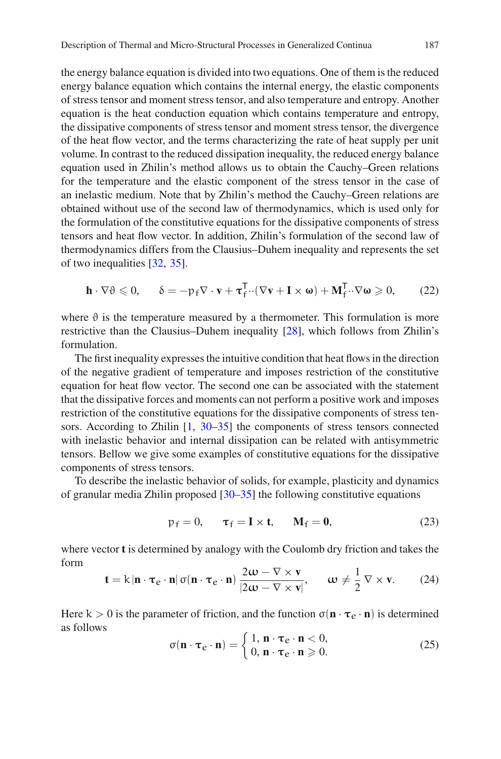the energy balance equation is divided into two equations. One of them is the reduced energy balance equation which contains the internal energy, the elastic components of stress tensor and moment stress tensor, and also temperature and entropy. Another equation is the heat conduction equation which contains temperature and entropy, the dissipative components of stress tensor and moment stress tensor, the divergence of the heat flow vector, and the terms characterizing the rate of heat supply per unit volume. In contrast to the reduced dissipation inequality, the reduced energy balance equation used in Zhilin's method allows us to obtain the Cauchy–Green relations for the temperature and the elastic component of the stress tensor in the case of an inelastic medium. Note that by Zhilin's method the Cauchy–Green relations are obtained without use of the second law of thermodynamics, which is used only for the formulation of the constitutive equations for the dissipative components of stress tensors and heat flow vector. In addition, Zhilin's formulation of the second law of thermodynamics differs from the Clausius–Duhem inequality and represents the set of two inequalities [\[32](#page-18-5), [35](#page-18-4)].

$$
\mathbf{h} \cdot \nabla \vartheta \leqslant 0, \qquad \delta = -\mathfrak{p}_{\mathfrak{f}} \nabla \cdot \mathbf{v} + \boldsymbol{\tau}_{\mathfrak{f}}^{\mathsf{T}} \cdot (\nabla \mathbf{v} + \mathbf{I} \times \boldsymbol{\omega}) + \mathbf{M}_{\mathfrak{f}}^{\mathsf{T}} \cdot \nabla \boldsymbol{\omega} \geqslant 0, \tag{22}
$$

<span id="page-8-2"></span>where  $\vartheta$  is the temperature measured by a thermometer. This formulation is more restrictive than the Clausius–Duhem inequality [\[28](#page-18-8)], which follows from Zhilin's formulation.

The first inequality expresses the intuitive condition that heat flows in the direction of the negative gradient of temperature and imposes restriction of the constitutive equation for heat flow vector. The second one can be associated with the statement that the dissipative forces and moments can not perform a positive work and imposes restriction of the constitutive equations for the dissipative components of stress tensors. According to Zhilin [\[1](#page-17-12), [30](#page-18-1)[–35\]](#page-18-4) the components of stress tensors connected with inelastic behavior and internal dissipation can be related with antisymmetric tensors. Bellow we give some examples of constitutive equations for the dissipative components of stress tensors.

<span id="page-8-1"></span>To describe the inelastic behavior of solids, for example, plasticity and dynamics of granular media Zhilin proposed [\[30](#page-18-1)[–35\]](#page-18-4) the following constitutive equations

$$
p_f = 0, \quad \tau_f = I \times t, \quad M_f = 0,
$$
\n(23)

<span id="page-8-0"></span>where vector **t** is determined by analogy with the Coulomb dry friction and takes the form

$$
\mathbf{t} = k \left| \mathbf{n} \cdot \boldsymbol{\tau}_e \cdot \mathbf{n} \right| \sigma(\mathbf{n} \cdot \boldsymbol{\tau}_e \cdot \mathbf{n}) \frac{2\omega - \nabla \times \mathbf{v}}{|2\omega - \nabla \times \mathbf{v}|}, \quad \omega \neq \frac{1}{2} \nabla \times \mathbf{v}. \tag{24}
$$

<span id="page-8-3"></span>Here  $k > 0$  is the parameter of friction, and the function  $\sigma(\mathbf{n} \cdot \mathbf{\tau}_e \cdot \mathbf{n})$  is determined as follows

$$
\sigma(\mathbf{n} \cdot \boldsymbol{\tau}_e \cdot \mathbf{n}) = \begin{cases} 1, \, \mathbf{n} \cdot \boldsymbol{\tau}_e \cdot \mathbf{n} < 0, \\ 0, \, \mathbf{n} \cdot \boldsymbol{\tau}_e \cdot \mathbf{n} \geqslant 0. \end{cases} \tag{25}
$$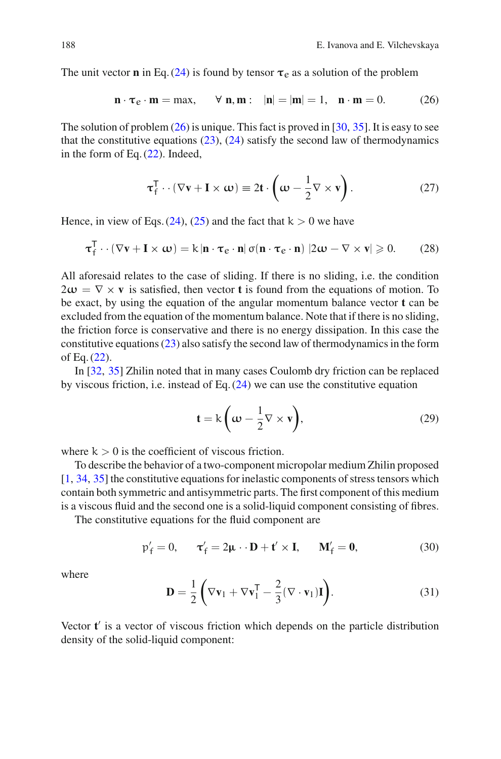<span id="page-9-0"></span>The unit vector **n** in Eq. [\(24\)](#page-8-0) is found by tensor  $\tau_e$  as a solution of the problem

$$
\mathbf{n} \cdot \boldsymbol{\tau}_e \cdot \mathbf{m} = \max, \qquad \forall \ \mathbf{n}, \mathbf{m} : \quad |\mathbf{n}| = |\mathbf{m}| = 1, \quad \mathbf{n} \cdot \mathbf{m} = 0. \tag{26}
$$

The solution of problem  $(26)$  is unique. This fact is proved in [\[30,](#page-18-1) [35\]](#page-18-4). It is easy to see that the constitutive equations  $(23)$ ,  $(24)$  satisfy the second law of thermodynamics in the form of Eq. [\(22\)](#page-8-2). Indeed,

$$
\boldsymbol{\tau}_{\mathbf{f}}^{\mathsf{T}} \cdot (\nabla \mathbf{v} + \mathbf{I} \times \boldsymbol{\omega}) \equiv 2\mathbf{t} \cdot \left(\boldsymbol{\omega} - \frac{1}{2} \nabla \times \mathbf{v}\right). \tag{27}
$$

Hence, in view of Eqs.  $(24)$ ,  $(25)$  and the fact that  $k > 0$  we have

$$
\boldsymbol{\tau}_{\mathbf{f}}^{\mathsf{T}} \cdot (\nabla \mathbf{v} + \mathbf{I} \times \boldsymbol{\omega}) = \mathbf{k} \left| \mathbf{n} \cdot \boldsymbol{\tau}_{\mathbf{e}} \cdot \mathbf{n} \right| \sigma (\mathbf{n} \cdot \boldsymbol{\tau}_{\mathbf{e}} \cdot \mathbf{n}) \left| 2\boldsymbol{\omega} - \nabla \times \mathbf{v} \right| \geqslant 0. \tag{28}
$$

All aforesaid relates to the case of sliding. If there is no sliding, i.e. the condition  $2\omega = \nabla \times \mathbf{v}$  is satisfied, then vector **t** is found from the equations of motion. To be exact, by using the equation of the angular momentum balance vector **t** can be excluded from the equation of the momentum balance. Note that if there is no sliding, the friction force is conservative and there is no energy dissipation. In this case the constitutive equations [\(23\)](#page-8-1) also satisfy the second law of thermodynamics in the form of Eq. [\(22\)](#page-8-2).

In [\[32](#page-18-5), [35](#page-18-4)] Zhilin noted that in many cases Coulomb dry friction can be replaced by viscous friction, i.e. instead of Eq. [\(24\)](#page-8-0) we can use the constitutive equation

$$
\mathbf{t} = k \left( \boldsymbol{\omega} - \frac{1}{2} \nabla \times \mathbf{v} \right), \tag{29}
$$

where  $k > 0$  is the coefficient of viscous friction.

To describe the behavior of a two-component micropolar medium Zhilin proposed [\[1,](#page-17-12) [34,](#page-18-3) [35\]](#page-18-4) the constitutive equations for inelastic components of stress tensors which contain both symmetric and antisymmetric parts. The first component of this medium is a viscous fluid and the second one is a solid-liquid component consisting of fibres.

<span id="page-9-1"></span>The constitutive equations for the fluid component are

$$
\mathbf{p}'_{\mathbf{f}} = 0, \quad \mathbf{\tau}'_{\mathbf{f}} = 2\mathbf{\mu} \cdot \mathbf{D} + \mathbf{t}' \times \mathbf{I}, \quad \mathbf{M}'_{\mathbf{f}} = \mathbf{0}, \tag{30}
$$

where

$$
\mathbf{D} = \frac{1}{2} \left( \nabla \mathbf{v}_1 + \nabla \mathbf{v}_1^{\mathsf{T}} - \frac{2}{3} (\nabla \cdot \mathbf{v}_1) \mathbf{I} \right).
$$
 (31)

Vector **t** is a vector of viscous friction which depends on the particle distribution density of the solid-liquid component: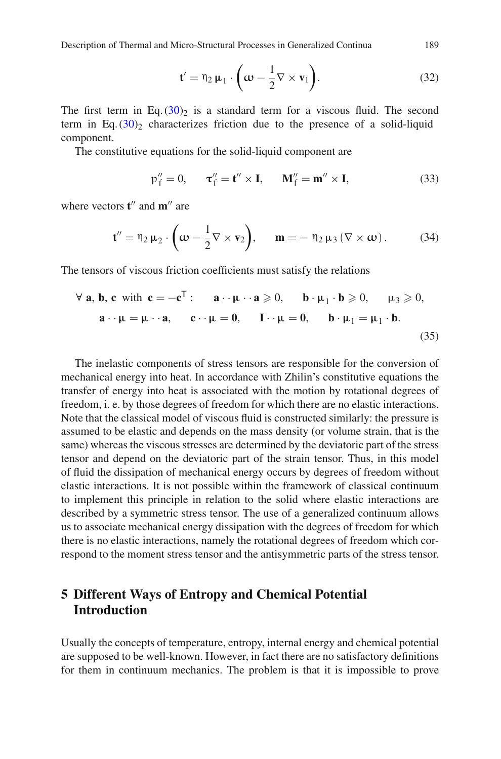$$
\mathbf{t}' = \eta_2 \,\mathbf{\mu}_1 \cdot \left( \mathbf{\omega} - \frac{1}{2} \nabla \times \mathbf{v}_1 \right). \tag{32}
$$

The first term in Eq.  $(30)_2$  $(30)_2$  is a standard term for a viscous fluid. The second term in Eq.  $(30)$ <sub>2</sub> characterizes friction due to the presence of a solid-liquid component.

The constitutive equations for the solid-liquid component are

$$
\mathbf{p}_{\mathbf{f}}^{"'} = 0, \qquad \mathbf{\tau}_{\mathbf{f}}^{"} = \mathbf{t}^{"} \times \mathbf{I}, \qquad \mathbf{M}_{\mathbf{f}}^{"} = \mathbf{m}^{"} \times \mathbf{I}, \tag{33}
$$

where vectors  $t''$  and  $m''$  are

$$
\mathbf{t}'' = \eta_2 \,\mathbf{\mu}_2 \cdot \left( \mathbf{\omega} - \frac{1}{2} \nabla \times \mathbf{v}_2 \right), \qquad \mathbf{m} = - \eta_2 \,\mathbf{\mu}_3 \left( \nabla \times \mathbf{\omega} \right). \tag{34}
$$

The tensors of viscous friction coefficients must satisfy the relations

$$
\forall \mathbf{a}, \mathbf{b}, \mathbf{c} \text{ with } \mathbf{c} = -\mathbf{c}^{\mathsf{T}}: \quad \mathbf{a} \cdot \mathbf{u} \cdot \mathbf{a} \ge 0, \quad \mathbf{b} \cdot \mathbf{u}_{1} \cdot \mathbf{b} \ge 0, \quad \mathbf{u}_{3} \ge 0, \mathbf{a} \cdot \mathbf{u} = \mathbf{u} \cdot \mathbf{a}, \quad \mathbf{c} \cdot \mathbf{u} = 0, \quad \mathbf{I} \cdot \mathbf{u} = 0, \quad \mathbf{b} \cdot \mathbf{u}_{1} = \mathbf{u}_{1} \cdot \mathbf{b}.
$$
\n(35)

The inelastic components of stress tensors are responsible for the conversion of mechanical energy into heat. In accordance with Zhilin's constitutive equations the transfer of energy into heat is associated with the motion by rotational degrees of freedom, i. e. by those degrees of freedom for which there are no elastic interactions. Note that the classical model of viscous fluid is constructed similarly: the pressure is assumed to be elastic and depends on the mass density (or volume strain, that is the same) whereas the viscous stresses are determined by the deviatoric part of the stress tensor and depend on the deviatoric part of the strain tensor. Thus, in this model of fluid the dissipation of mechanical energy occurs by degrees of freedom without elastic interactions. It is not possible within the framework of classical continuum to implement this principle in relation to the solid where elastic interactions are described by a symmetric stress tensor. The use of a generalized continuum allows us to associate mechanical energy dissipation with the degrees of freedom for which there is no elastic interactions, namely the rotational degrees of freedom which correspond to the moment stress tensor and the antisymmetric parts of the stress tensor.

# <span id="page-10-0"></span>**5 Different Ways of Entropy and Chemical Potential Introduction**

Usually the concepts of temperature, entropy, internal energy and chemical potential are supposed to be well-known. However, in fact there are no satisfactory definitions for them in continuum mechanics. The problem is that it is impossible to prove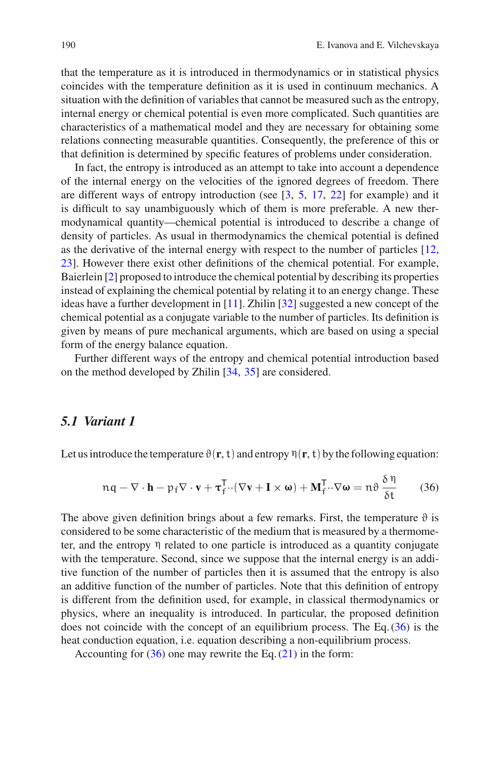that the temperature as it is introduced in thermodynamics or in statistical physics coincides with the temperature definition as it is used in continuum mechanics. A situation with the definition of variables that cannot be measured such as the entropy, internal energy or chemical potential is even more complicated. Such quantities are characteristics of a mathematical model and they are necessary for obtaining some relations connecting measurable quantities. Consequently, the preference of this or that definition is determined by specific features of problems under consideration.

In fact, the entropy is introduced as an attempt to take into account a dependence of the internal energy on the velocities of the ignored degrees of freedom. There are different ways of entropy introduction (see [\[3](#page-17-17), [5,](#page-17-18) [17](#page-17-19), [22](#page-17-20)] for example) and it is difficult to say unambiguously which of them is more preferable. A new thermodynamical quantity—chemical potential is introduced to describe a change of density of particles. As usual in thermodynamics the chemical potential is defined as the derivative of the internal energy with respect to the number of particles [\[12,](#page-17-21) [23\]](#page-17-14). However there exist other definitions of the chemical potential. For example, Baierlein [\[2](#page-17-22)] proposed to introduce the chemical potential by describing its properties instead of explaining the chemical potential by relating it to an energy change. These ideas have a further development in [\[11](#page-17-23)]. Zhilin [\[32](#page-18-5)] suggested a new concept of the chemical potential as a conjugate variable to the number of particles. Its definition is given by means of pure mechanical arguments, which are based on using a special form of the energy balance equation.

Further different ways of the entropy and chemical potential introduction based on the method developed by Zhilin [\[34,](#page-18-3) [35](#page-18-4)] are considered.

#### *5.1 Variant 1*

<span id="page-11-0"></span>Let us introduce the temperature  $\vartheta(\mathbf{r}, t)$  and entropy  $\eta(\mathbf{r}, t)$  by the following equation:

$$
nq - \nabla \cdot \mathbf{h} - p_f \nabla \cdot \mathbf{v} + \boldsymbol{\tau}_f^T \cdot (\nabla \mathbf{v} + \mathbf{I} \times \boldsymbol{\omega}) + \mathbf{M}_f^T \cdot \nabla \boldsymbol{\omega} = n \vartheta \frac{\delta \eta}{\delta t}
$$
 (36)

The above given definition brings about a few remarks. First, the temperature  $\vartheta$  is considered to be some characteristic of the medium that is measured by a thermometer, and the entropy η related to one particle is introduced as a quantity conjugate with the temperature. Second, since we suppose that the internal energy is an additive function of the number of particles then it is assumed that the entropy is also an additive function of the number of particles. Note that this definition of entropy is different from the definition used, for example, in classical thermodynamics or physics, where an inequality is introduced. In particular, the proposed definition does not coincide with the concept of an equilibrium process. The Eq. [\(36\)](#page-11-0) is the heat conduction equation, i.e. equation describing a non-equilibrium process.

Accounting for  $(36)$  one may rewrite the Eq.  $(21)$  in the form: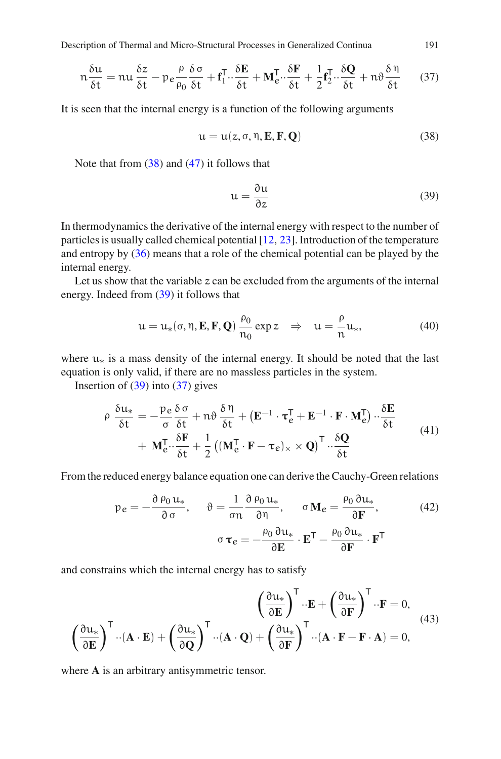<span id="page-12-2"></span>Description of Thermal and Micro-Structural Processes in Generalized Continua 191

$$
n\frac{\delta u}{\delta t} = n u \frac{\delta z}{\delta t} - p_e \frac{\rho}{\rho_0} \frac{\delta \sigma}{\delta t} + \mathbf{f}_1^{\mathsf{T}} \cdot \frac{\delta \mathbf{E}}{\delta t} + \mathbf{M}_{e}^{\mathsf{T}} \cdot \frac{\delta \mathbf{F}}{\delta t} + \frac{1}{2} \mathbf{f}_2^{\mathsf{T}} \cdot \frac{\delta \mathbf{Q}}{\delta t} + n \vartheta \frac{\delta \eta}{\delta t} \tag{37}
$$

<span id="page-12-0"></span>It is seen that the internal energy is a function of the following arguments

<span id="page-12-1"></span>
$$
\mathbf{u} = \mathbf{u}(\mathbf{z}, \sigma, \eta, \mathbf{E}, \mathbf{F}, \mathbf{Q}) \tag{38}
$$

Note that from [\(38\)](#page-12-0) and [\(47\)](#page-14-0) it follows that

$$
u = \frac{\partial u}{\partial z} \tag{39}
$$

In thermodynamics the derivative of the internal energy with respect to the number of particles is usually called chemical potential [\[12,](#page-17-21) [23](#page-17-14)]. Introduction of the temperature and entropy by [\(36\)](#page-11-0) means that a role of the chemical potential can be played by the internal energy.

Let us show that the variable  $z$  can be excluded from the arguments of the internal energy. Indeed from [\(39\)](#page-12-1) it follows that

$$
\mathfrak{u} = \mathfrak{u}_*(\sigma, \eta, \mathbf{E}, \mathbf{F}, \mathbf{Q}) \frac{\rho_0}{\mathfrak{n}_0} \exp z \quad \Rightarrow \quad \mathfrak{u} = \frac{\rho}{\mathfrak{n}} \mathfrak{u}_*, \tag{40}
$$

where  $u_*$  is a mass density of the internal energy. It should be noted that the last equation is only valid, if there are no massless particles in the system.

Insertion of  $(39)$  into  $(37)$  gives

$$
\rho \frac{\delta u_{*}}{\delta t} = -\frac{p_{e}}{\sigma} \frac{\delta \sigma}{\delta t} + n \vartheta \frac{\delta \eta}{\delta t} + (E^{-1} \cdot \tau_{e}^{T} + E^{-1} \cdot F \cdot M_{e}^{T}) \cdot \frac{\delta E}{\delta t} + M_{e}^{T} \cdot \frac{\delta F}{\delta t} + \frac{1}{2} ((M_{e}^{T} \cdot F - \tau_{e})_{\times} \times Q)^{T} \cdot \frac{\delta Q}{\delta t}
$$
\n(41)

From the reduced energy balance equation one can derive the Cauchy-Green relations

<span id="page-12-3"></span>
$$
p_e = -\frac{\partial \rho_0 u_*}{\partial \sigma}, \quad \vartheta = \frac{1}{\sigma n} \frac{\partial \rho_0 u_*}{\partial \eta}, \quad \sigma M_e = \frac{\rho_0 \partial u_*}{\partial F}, \quad (42)
$$

$$
\sigma \tau_e = -\frac{\rho_0 \partial u_*}{\partial E} \cdot E^{\mathsf{T}} - \frac{\rho_0 \partial u_*}{\partial F} \cdot F^{\mathsf{T}}
$$

and constrains which the internal energy has to satisfy

$$
\left(\frac{\partial u_*}{\partial E}\right)^T \cdot E + \left(\frac{\partial u_*}{\partial F}\right)^T \cdot F = 0,
$$
\n
$$
\left(\frac{\partial u_*}{\partial E}\right)^T \cdot (A \cdot E) + \left(\frac{\partial u_*}{\partial Q}\right)^T \cdot (A \cdot Q) + \left(\frac{\partial u_*}{\partial F}\right)^T \cdot (A \cdot F - F \cdot A) = 0,
$$
\n(43)

where **A** is an arbitrary antisymmetric tensor.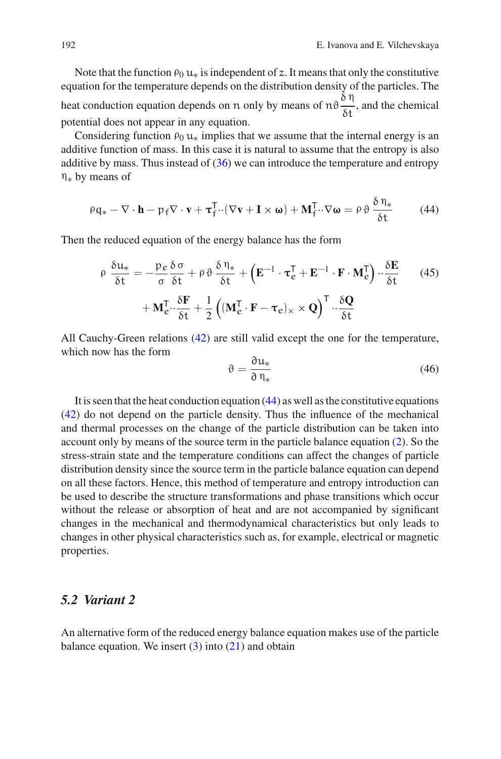Note that the function  $\rho_0 u_*$  is independent of z. It means that only the constitutive equation for the temperature depends on the distribution density of the particles. The heat conduction equation depends on n only by means of  $n\delta \frac{\delta \eta}{\delta t}$ , and the chemical potential does not appear in any equation.

Considering function  $\rho_0 u_*$  implies that we assume that the internal energy is an additive function of mass. In this case it is natural to assume that the entropy is also additive by mass. Thus instead of  $(36)$  we can introduce the temperature and entropy η<sup>∗</sup> by means of

$$
\rho q_* - \nabla \cdot \mathbf{h} - p_f \nabla \cdot \mathbf{v} + \tau_f^T \cdot (\nabla \mathbf{v} + \mathbf{I} \times \boldsymbol{\omega}) + \mathbf{M}_f^T \cdot \nabla \boldsymbol{\omega} = \rho \vartheta \frac{\delta \eta_*}{\delta t} \tag{44}
$$

<span id="page-13-0"></span>Then the reduced equation of the energy balance has the form

$$
\rho \frac{\delta u_*}{\delta t} = -\frac{p_e}{\sigma} \frac{\delta \sigma}{\delta t} + \rho \vartheta \frac{\delta \eta_*}{\delta t} + \left( \mathbf{E}^{-1} \cdot \boldsymbol{\tau}_e^{\mathsf{T}} + \mathbf{E}^{-1} \cdot \mathbf{F} \cdot \mathbf{M}_e^{\mathsf{T}} \right) \cdot \frac{\delta \mathbf{E}}{\delta t} \qquad (45)
$$

$$
+ \mathbf{M}_e^{\mathsf{T}} \cdot \frac{\delta \mathbf{F}}{\delta t} + \frac{1}{2} \left( (\mathbf{M}_e^{\mathsf{T}} \cdot \mathbf{F} - \boldsymbol{\tau}_e)_\times \times \mathbf{Q} \right)^{\mathsf{T}} \cdot \frac{\delta \mathbf{Q}}{\delta t}
$$

All Cauchy-Green relations [\(42\)](#page-12-3) are still valid except the one for the temperature, which now has the form

$$
\vartheta = \frac{\partial u_*}{\partial \eta_*} \tag{46}
$$

It is seen that the heat conduction equation [\(44\)](#page-13-0) as well as the constitutive equations [\(42\)](#page-12-3) do not depend on the particle density. Thus the influence of the mechanical and thermal processes on the change of the particle distribution can be taken into account only by means of the source term in the particle balance equation [\(2\)](#page-2-2). So the stress-strain state and the temperature conditions can affect the changes of particle distribution density since the source term in the particle balance equation can depend on all these factors. Hence, this method of temperature and entropy introduction can be used to describe the structure transformations and phase transitions which occur without the release or absorption of heat and are not accompanied by significant changes in the mechanical and thermodynamical characteristics but only leads to changes in other physical characteristics such as, for example, electrical or magnetic properties.

## *5.2 Variant 2*

An alternative form of the reduced energy balance equation makes use of the particle balance equation. We insert  $(3)$  into  $(21)$  and obtain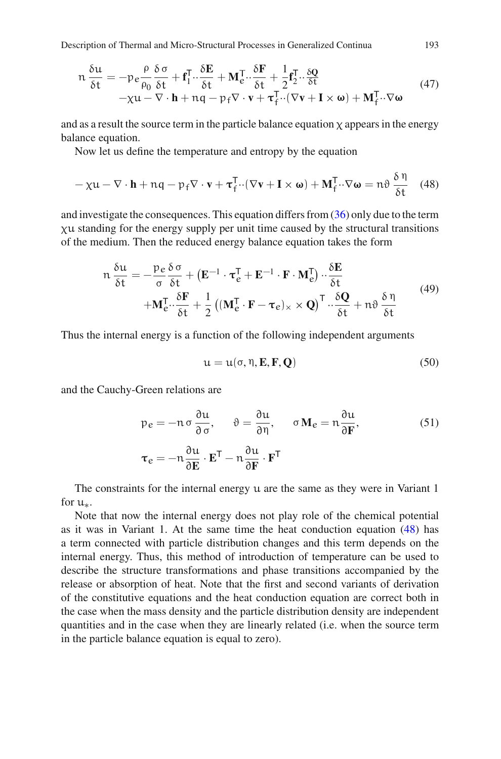<span id="page-14-0"></span>Description of Thermal and Micro-Structural Processes in Generalized Continua 193

$$
n\frac{\delta u}{\delta t} = -p_e \frac{\rho}{\rho_0} \frac{\delta \sigma}{\delta t} + \mathbf{f}_1^{\mathsf{T}} \cdot \frac{\delta \mathbf{E}}{\delta t} + \mathbf{M}_e^{\mathsf{T}} \cdot \frac{\delta \mathbf{F}}{\delta t} + \frac{1}{2} \mathbf{f}_2^{\mathsf{T}} \cdot \frac{\delta \mathbf{Q}}{\delta t} - \chi u - \nabla \cdot \mathbf{h} + nq - p_f \nabla \cdot \mathbf{v} + \tau_f^{\mathsf{T}} \cdot (\nabla \mathbf{v} + \mathbf{I} \times \boldsymbol{\omega}) + \mathbf{M}_f^{\mathsf{T}} \cdot \nabla \boldsymbol{\omega}
$$
(47)

<span id="page-14-1"></span>and as a result the source term in the particle balance equation  $\chi$  appears in the energy balance equation.

Now let us define the temperature and entropy by the equation

$$
-\chi u - \nabla \cdot \mathbf{h} + nq - p_f \nabla \cdot \mathbf{v} + \tau_f^T \cdot (\nabla \mathbf{v} + \mathbf{I} \times \boldsymbol{\omega}) + \mathbf{M}_f^T \cdot \nabla \boldsymbol{\omega} = n \vartheta \frac{\delta \eta}{\delta t} \quad (48)
$$

and investigate the consequences. This equation differs from [\(36\)](#page-11-0) only due to the term χu standing for the energy supply per unit time caused by the structural transitions of the medium. Then the reduced energy balance equation takes the form

$$
n\frac{\delta u}{\delta t} = -\frac{p_e}{\sigma} \frac{\delta \sigma}{\delta t} + (\mathbf{E}^{-1} \cdot \boldsymbol{\tau}_e^{\mathsf{T}} + \mathbf{E}^{-1} \cdot \mathbf{F} \cdot \mathbf{M}_e^{\mathsf{T}}) \cdot \frac{\delta \mathbf{E}}{\delta t} + \mathbf{M}_e^{\mathsf{T}} \cdot \frac{\delta \mathbf{F}}{\delta t} + \frac{1}{2} ((\mathbf{M}_e^{\mathsf{T}} \cdot \mathbf{F} - \boldsymbol{\tau}_e)_{\times} \times \mathbf{Q})^{\mathsf{T}} \cdot \frac{\delta \mathbf{Q}}{\delta t} + n\vartheta \frac{\delta \eta}{\delta t}
$$
(49)

Thus the internal energy is a function of the following independent arguments

$$
\mathbf{u} = \mathbf{u}(\sigma, \eta, \mathbf{E}, \mathbf{F}, \mathbf{Q}) \tag{50}
$$

and the Cauchy-Green relations are

$$
p_e = -n \sigma \frac{\partial u}{\partial \sigma}, \quad \theta = \frac{\partial u}{\partial \eta}, \quad \sigma \mathbf{M}_e = n \frac{\partial u}{\partial \mathbf{F}},
$$
  

$$
\tau_e = -n \frac{\partial u}{\partial \mathbf{E}} \cdot \mathbf{E}^\mathsf{T} - n \frac{\partial u}{\partial \mathbf{F}} \cdot \mathbf{F}^\mathsf{T}
$$
 (51)

The constraints for the internal energy u are the same as they were in Variant 1 for  $u_*$ .

Note that now the internal energy does not play role of the chemical potential as it was in Variant 1. At the same time the heat conduction equation [\(48\)](#page-14-1) has a term connected with particle distribution changes and this term depends on the internal energy. Thus, this method of introduction of temperature can be used to describe the structure transformations and phase transitions accompanied by the release or absorption of heat. Note that the first and second variants of derivation of the constitutive equations and the heat conduction equation are correct both in the case when the mass density and the particle distribution density are independent quantities and in the case when they are linearly related (i.e. when the source term in the particle balance equation is equal to zero).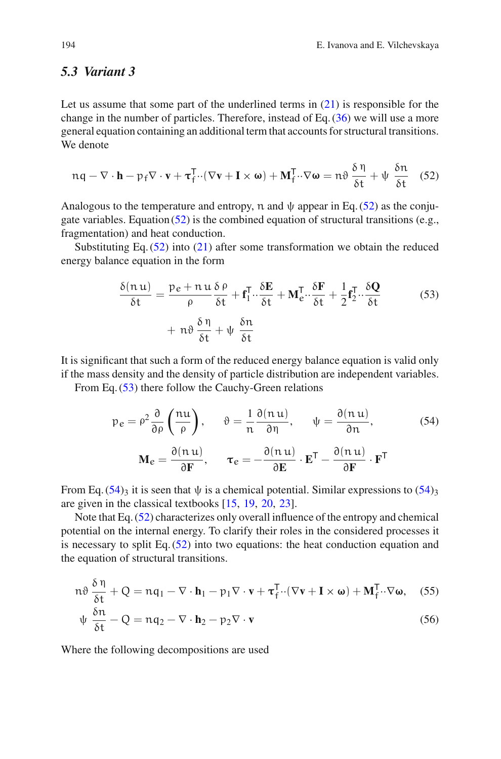## *5.3 Variant 3*

Let us assume that some part of the underlined terms in  $(21)$  is responsible for the change in the number of particles. Therefore, instead of Eq.  $(36)$  we will use a more general equation containing an additional term that accounts for structural transitions. We denote

<span id="page-15-0"></span>
$$
nq - \nabla \cdot \mathbf{h} - p_f \nabla \cdot \mathbf{v} + \tau_f^T \cdot (\nabla \mathbf{v} + \mathbf{I} \times \boldsymbol{\omega}) + \mathbf{M}_f^T \cdot \nabla \boldsymbol{\omega} = n \vartheta \frac{\delta \eta}{\delta t} + \psi \frac{\delta n}{\delta t} \quad (52)
$$

Analogous to the temperature and entropy, n and  $\psi$  appear in Eq. [\(52\)](#page-15-0) as the conjugate variables. Equation  $(52)$  is the combined equation of structural transitions (e.g., fragmentation) and heat conduction.

Substituting Eq.  $(52)$  into  $(21)$  after some transformation we obtain the reduced energy balance equation in the form

<span id="page-15-1"></span>
$$
\frac{\delta(n \, u)}{\delta t} = \frac{p_e + n \, u}{\rho} \frac{\delta \, \rho}{\delta t} + \mathbf{f}_1^{\mathsf{T}} \cdot \frac{\delta \mathbf{E}}{\delta t} + \mathbf{M}_e^{\mathsf{T}} \cdot \frac{\delta \mathbf{F}}{\delta t} + \frac{1}{2} \mathbf{f}_2^{\mathsf{T}} \cdot \frac{\delta \mathbf{Q}}{\delta t} + n \vartheta \frac{\delta \, \eta}{\delta t} + \psi \frac{\delta n}{\delta t}
$$
(53)

It is significant that such a form of the reduced energy balance equation is valid only if the mass density and the density of particle distribution are independent variables.

From Eq. [\(53\)](#page-15-1) there follow the Cauchy-Green relations

<span id="page-15-2"></span>
$$
p_e = \rho^2 \frac{\partial}{\partial \rho} \left( \frac{n u}{\rho} \right), \qquad \theta = \frac{1}{n} \frac{\partial (n u)}{\partial \eta}, \qquad \psi = \frac{\partial (n u)}{\partial n}, \qquad (54)
$$

$$
\mathbf{M}_e = \frac{\partial (n u)}{\partial \mathbf{F}}, \qquad \tau_e = -\frac{\partial (n u)}{\partial \mathbf{E}} \cdot \mathbf{E}^\mathsf{T} - \frac{\partial (n u)}{\partial \mathbf{F}} \cdot \mathbf{F}^\mathsf{T}
$$

From Eq. [\(54\)](#page-15-2)<sub>3</sub> it is seen that  $\psi$  is a chemical potential. Similar expressions to (54)<sub>3</sub> are given in the classical textbooks [\[15,](#page-17-24) [19,](#page-17-13) [20](#page-17-16), [23](#page-17-14)].

Note that Eq. [\(52\)](#page-15-0) characterizes only overall influence of the entropy and chemical potential on the internal energy. To clarify their roles in the considered processes it is necessary to split Eq.  $(52)$  into two equations: the heat conduction equation and the equation of structural transitions.

$$
\mathfrak{n}\vartheta\frac{\delta\,\eta}{\delta t} + Q = \mathfrak{n}q_1 - \nabla\cdot\mathbf{h}_1 - \mathfrak{p}_1\nabla\cdot\mathbf{v} + \boldsymbol{\tau}_f^{\mathsf{T}}\cdot(\nabla\mathbf{v} + \mathbf{I}\times\boldsymbol{\omega}) + \mathbf{M}_f^{\mathsf{T}}\cdot\nabla\boldsymbol{\omega},\quad(55)
$$

<span id="page-15-3"></span>
$$
\psi \frac{\delta \mathfrak{n}}{\delta t} - Q = \mathfrak{n} q_2 - \nabla \cdot \mathbf{h}_2 - p_2 \nabla \cdot \mathbf{v}
$$
\n(56)

Where the following decompositions are used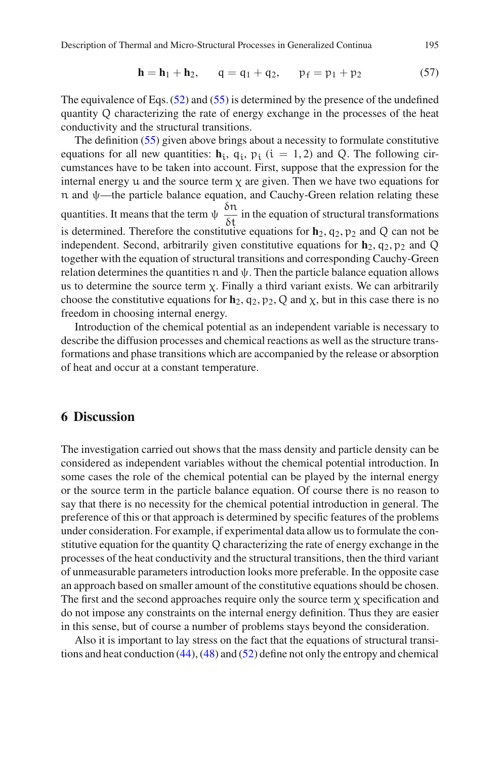$$
\mathbf{h} = \mathbf{h}_1 + \mathbf{h}_2, \qquad q = q_1 + q_2, \qquad p_f = p_1 + p_2 \tag{57}
$$

The equivalence of Eqs. [\(52\)](#page-15-0) and [\(55\)](#page-15-3) is determined by the presence of the undefined quantity Q characterizing the rate of energy exchange in the processes of the heat conductivity and the structural transitions.

The definition [\(55\)](#page-15-3) given above brings about a necessity to formulate constitutive equations for all new quantities:  $h_i$ ,  $q_i$ ,  $p_i$  (i = 1, 2) and Q. The following circumstances have to be taken into account. First, suppose that the expression for the internal energy u and the source term  $\chi$  are given. Then we have two equations for n and ψ—the particle balance equation, and Cauchy-Green relation relating these quantities. It means that the term  $\psi$ δn  $\frac{\partial u}{\partial t}$  in the equation of structural transformations is determined. Therefore the constitutive equations for  $h_2$ ,  $q_2$ ,  $p_2$  and Q can not be independent. Second, arbitrarily given constitutive equations for  $h_2$ ,  $q_2$ ,  $p_2$  and Q together with the equation of structural transitions and corresponding Cauchy-Green relation determines the quantities n and  $\psi$ . Then the particle balance equation allows us to determine the source term  $\chi$ . Finally a third variant exists. We can arbitrarily choose the constitutive equations for  $h_2$ ,  $q_2$ ,  $p_2$ , Q and  $\chi$ , but in this case there is no freedom in choosing internal energy.

Introduction of the chemical potential as an independent variable is necessary to describe the diffusion processes and chemical reactions as well as the structure transformations and phase transitions which are accompanied by the release or absorption of heat and occur at a constant temperature.

## <span id="page-16-0"></span>**6 Discussion**

The investigation carried out shows that the mass density and particle density can be considered as independent variables without the chemical potential introduction. In some cases the role of the chemical potential can be played by the internal energy or the source term in the particle balance equation. Of course there is no reason to say that there is no necessity for the chemical potential introduction in general. The preference of this or that approach is determined by specific features of the problems under consideration. For example, if experimental data allow us to formulate the constitutive equation for the quantity Q characterizing the rate of energy exchange in the processes of the heat conductivity and the structural transitions, then the third variant of unmeasurable parameters introduction looks more preferable. In the opposite case an approach based on smaller amount of the constitutive equations should be chosen. The first and the second approaches require only the source term  $\chi$  specification and do not impose any constraints on the internal energy definition. Thus they are easier in this sense, but of course a number of problems stays beyond the consideration.

Also it is important to lay stress on the fact that the equations of structural transitions and heat conduction  $(44)$ ,  $(48)$  and  $(52)$  define not only the entropy and chemical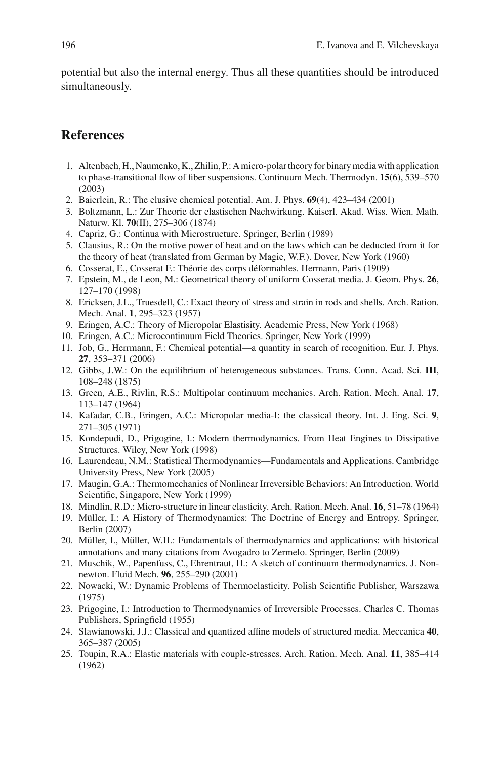potential but also the internal energy. Thus all these quantities should be introduced simultaneously.

## **References**

- <span id="page-17-12"></span>1. Altenbach, H., Naumenko, K., Zhilin, P.: A micro-polar theory for binary media with application to phase-transitional flow of fiber suspensions. Continuum Mech. Thermodyn. **15**(6), 539–570 (2003)
- <span id="page-17-22"></span>2. Baierlein, R.: The elusive chemical potential. Am. J. Phys. **69**(4), 423–434 (2001)
- <span id="page-17-17"></span>3. Boltzmann, L.: Zur Theorie der elastischen Nachwirkung. Kaiserl. Akad. Wiss. Wien. Math. Naturw. Kl. **70**(II), 275–306 (1874)
- <span id="page-17-7"></span>4. Capriz, G.: Continua with Microstructure. Springer, Berlin (1989)
- <span id="page-17-18"></span>5. Clausius, R.: On the motive power of heat and on the laws which can be deducted from it for the theory of heat (translated from German by Magie, W.F.). Dover, New York (1960)
- <span id="page-17-0"></span>6. Cosserat, E., Cosserat F.: Théorie des corps déformables. Hermann, Paris (1909)
- <span id="page-17-8"></span>7. Epstein, M., de Leon, M.: Geometrical theory of uniform Cosserat media. J. Geom. Phys. **26**, 127–170 (1998)
- <span id="page-17-1"></span>8. Ericksen, J.L., Truesdell, C.: Exact theory of stress and strain in rods and shells. Arch. Ration. Mech. Anal. **1**, 295–323 (1957)
- 9. Eringen, A.C.: Theory of Micropolar Elastisity. Academic Press, New York (1968)
- <span id="page-17-9"></span><span id="page-17-5"></span>10. Eringen, A.C.: Microcontinuum Field Theories. Springer, New York (1999)
- <span id="page-17-23"></span>11. Job, G., Herrmann, F.: Chemical potential—a quantity in search of recognition. Eur. J. Phys. **27**, 353–371 (2006)
- <span id="page-17-21"></span>12. Gibbs, J.W.: On the equilibrium of heterogeneous substances. Trans. Conn. Acad. Sci. **III**, 108–248 (1875)
- <span id="page-17-2"></span>13. Green, A.E., Rivlin, R.S.: Multipolar continuum mechanics. Arch. Ration. Mech. Anal. **17**, 113–147 (1964)
- <span id="page-17-6"></span>14. Kafadar, C.B., Eringen, A.C.: Micropolar media-I: the classical theory. Int. J. Eng. Sci. **9**, 271–305 (1971)
- <span id="page-17-24"></span>15. Kondepudi, D., Prigogine, I.: Modern thermodynamics. From Heat Engines to Dissipative Structures. Wiley, New York (1998)
- <span id="page-17-15"></span>16. Laurendeau, N.M.: Statistical Thermodynamics—Fundamentals and Applications. Cambridge University Press, New York (2005)
- <span id="page-17-19"></span>17. Maugin, G.A.: Thermomechanics of Nonlinear Irreversible Behaviors: An Introduction. World Scientific, Singapore, New York (1999)
- <span id="page-17-3"></span>18. Mindlin, R.D.: Micro-structure in linear elasticity. Arch. Ration. Mech. Anal. **16**, 51–78 (1964)
- <span id="page-17-13"></span>19. Müller, I.: A History of Thermodynamics: The Doctrine of Energy and Entropy. Springer, Berlin (2007)
- <span id="page-17-16"></span>20. Müller, I., Müller, W.H.: Fundamentals of thermodynamics and applications: with historical annotations and many citations from Avogadro to Zermelo. Springer, Berlin (2009)
- <span id="page-17-10"></span>21. Muschik, W., Papenfuss, C., Ehrentraut, H.: A sketch of continuum thermodynamics. J. Nonnewton. Fluid Mech. **96**, 255–290 (2001)
- <span id="page-17-20"></span>22. Nowacki, W.: Dynamic Problems of Thermoelasticity. Polish Scientific Publisher, Warszawa (1975)
- <span id="page-17-14"></span>23. Prigogine, I.: Introduction to Thermodynamics of Irreversible Processes. Charles C. Thomas Publishers, Springfield (1955)
- <span id="page-17-11"></span>24. Slawianowski, J.J.: Classical and quantized affine models of structured media. Meccanica **40**, 365–387 (2005)
- <span id="page-17-4"></span>25. Toupin, R.A.: Elastic materials with couple-stresses. Arch. Ration. Mech. Anal. **11**, 385–414 (1962)